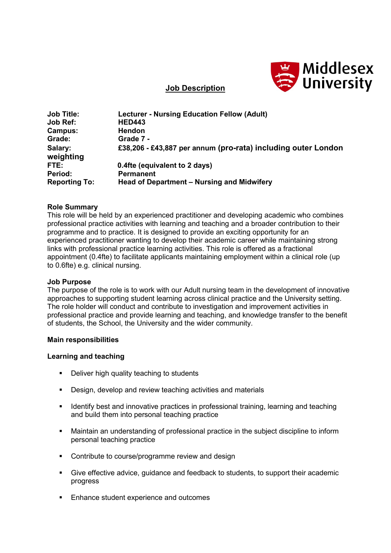

## **Job Description**

| <b>Job Title:</b>    | <b>Lecturer - Nursing Education Fellow (Adult)</b>            |
|----------------------|---------------------------------------------------------------|
| <b>Job Ref:</b>      | <b>HED443</b>                                                 |
| Campus:              | Hendon                                                        |
| Grade:               | Grade 7 -                                                     |
| Salary:<br>weighting | £38,206 - £43,887 per annum (pro-rata) including outer London |
| FTE:                 | 0.4fte (equivalent to 2 days)                                 |
| Period:              | <b>Permanent</b>                                              |
| <b>Reporting To:</b> | Head of Department - Nursing and Midwifery                    |

### **Role Summary**

This role will be held by an experienced practitioner and developing academic who combines professional practice activities with learning and teaching and a broader contribution to their programme and to practice. It is designed to provide an exciting opportunity for an experienced practitioner wanting to develop their academic career while maintaining strong links with professional practice learning activities. This role is offered as a fractional appointment (0.4fte) to facilitate applicants maintaining employment within a clinical role (up to 0.6fte) e.g. clinical nursing.

#### **Job Purpose**

The purpose of the role is to work with our Adult nursing team in the development of innovative approaches to supporting student learning across clinical practice and the University setting. The role holder will conduct and contribute to investigation and improvement activities in professional practice and provide learning and teaching, and knowledge transfer to the benefit of students, the School, the University and the wider community.

#### **Main responsibilities**

#### **Learning and teaching**

- **•** Deliver high quality teaching to students
- **Design, develop and review teaching activities and materials**
- **IDED 15 Identify best and innovative practices in professional training, learning and teaching** and build them into personal teaching practice
- Maintain an understanding of professional practice in the subject discipline to inform personal teaching practice
- Contribute to course/programme review and design
- Give effective advice, guidance and feedback to students, to support their academic progress
- Enhance student experience and outcomes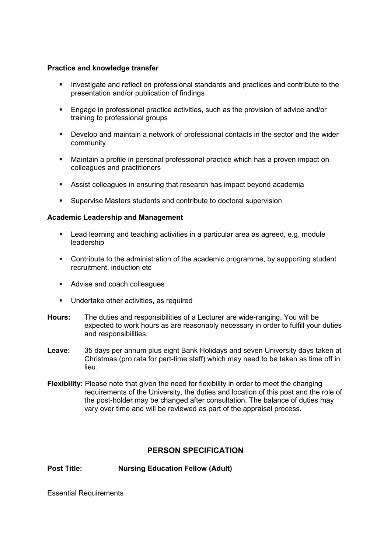## **Practice and knowledge transfer**

- Investigate and reflect on professional standards and practices and contribute to the presentation and/or publication of findings
- Engage in professional practice activities, such as the provision of advice and/or training to professional groups
- Develop and maintain a network of professional contacts in the sector and the wider community
- Maintain a profile in personal professional practice which has a proven impact on colleagues and practitioners
- Assist colleagues in ensuring that research has impact beyond academia
- Supervise Masters students and contribute to doctoral supervision

## **Academic Leadership and Management**

- Lead learning and teaching activities in a particular area as agreed, e.g. module leadership
- Contribute to the administration of the academic programme, by supporting student recruitment, induction etc
- Advise and coach colleagues
- **Undertake other activities, as required**
- **Hours:** The duties and responsibilities of a Lecturer are wide-ranging. You will be expected to work hours as are reasonably necessary in order to fulfill your duties and responsibilities.
- **Leave:** 35 days per annum plus eight Bank Holidays and seven University days taken at Christmas (pro rata for part-time staff) which may need to be taken as time off in lieu.
- **Flexibility:** Please note that given the need for flexibility in order to meet the changing requirements of the University, the duties and location of this post and the role of the post-holder may be changed after consultation. The balance of duties may vary over time and will be reviewed as part of the appraisal process.

# **PERSON SPECIFICATION**

**Post Title: Nursing Education Fellow (Adult)**

Essential Requirements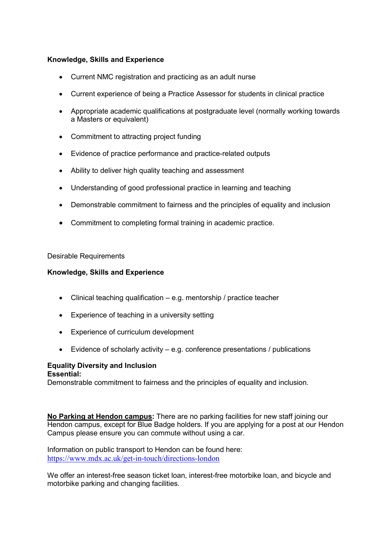## **Knowledge, Skills and Experience**

- Current NMC registration and practicing as an adult nurse
- Current experience of being a Practice Assessor for students in clinical practice
- Appropriate academic qualifications at postgraduate level (normally working towards a Masters or equivalent)
- Commitment to attracting project funding
- Evidence of practice performance and practice-related outputs
- Ability to deliver high quality teaching and assessment
- Understanding of good professional practice in learning and teaching
- Demonstrable commitment to fairness and the principles of equality and inclusion
- Commitment to completing formal training in academic practice.

### Desirable Requirements

## **Knowledge, Skills and Experience**

- Clinical teaching qualification e.g. mentorship / practice teacher
- Experience of teaching in a university setting
- Experience of curriculum development
- Evidence of scholarly activity e.g. conference presentations / publications

#### **Equality Diversity and Inclusion Essential:**

Demonstrable commitment to fairness and the principles of equality and inclusion.

**No Parking at Hendon campus:** There are no parking facilities for new staff joining our Hendon campus, except for Blue Badge holders. If you are applying for a post at our Hendon Campus please ensure you can commute without using a car.

Information on public transport to Hendon can be found here: <https://www.mdx.ac.uk/get-in-touch/directions-london>

We offer an interest-free season ticket loan, interest-free motorbike loan, and bicycle and motorbike parking and changing facilities.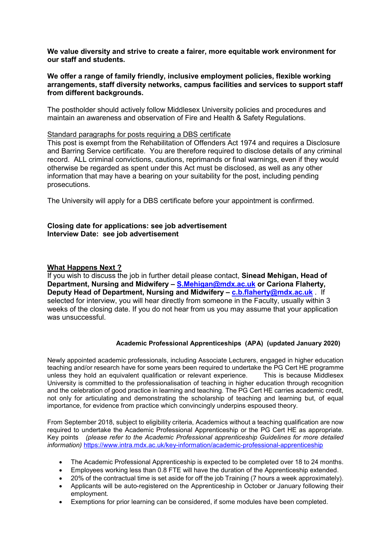**We value diversity and strive to create a fairer, more equitable work environment for our staff and students.**

### **We offer a range of family friendly, inclusive employment policies, flexible working arrangements, staff diversity networks, campus facilities and services to support staff from different backgrounds.**

The postholder should actively follow Middlesex University policies and procedures and maintain an awareness and observation of Fire and Health & Safety Regulations.

#### Standard paragraphs for posts requiring a DBS certificate

This post is exempt from the Rehabilitation of Offenders Act 1974 and requires a Disclosure and Barring Service certificate. You are therefore required to disclose details of any criminal record. ALL criminal convictions, cautions, reprimands or final warnings, even if they would otherwise be regarded as spent under this Act must be disclosed, as well as any other information that may have a bearing on your suitability for the post, including pending prosecutions.

The University will apply for a DBS certificate before your appointment is confirmed.

#### **Closing date for applications: see job advertisement Interview Date: see job advertisement**

### **What Happens Next ?**

If you wish to discuss the job in further detail please contact, **Sinead Mehigan, Head of Department, Nursing and Midwifery – [S.Mehigan@mdx.ac.uk](mailto:S.Mehigan@mdx.ac.uk) or Cariona Flaherty, Deputy Head of Department, Nursing and Midwifery – [c.b.flaherty@mdx.ac.uk](mailto:c.b.flaherty@mdx.ac.uk)** . If selected for interview, you will hear directly from someone in the Faculty, usually within 3 weeks of the closing date. If you do not hear from us you may assume that your application was unsuccessful.

#### **Academic Professional Apprenticeships (APA) (updated January 2020)**

Newly appointed academic professionals, including Associate Lecturers, engaged in higher education teaching and/or research have for some years been required to undertake the PG Cert HE programme unless they hold an equivalent qualification or relevant experience. This is because Middlesex University is committed to the professionalisation of teaching in higher education through recognition and the celebration of good practice in learning and teaching. The PG Cert HE carries academic credit, not only for articulating and demonstrating the scholarship of teaching and learning but, of equal importance, for evidence from practice which convincingly underpins espoused theory.

From September 2018, subject to eligibility criteria, Academics without a teaching qualification are now required to undertake the Academic Professional Apprenticeship or the PG Cert HE as appropriate. Key points *(please refer to the Academic Professional apprenticeship Guidelines for more detailed information)* [https://www.intra.mdx.ac.uk/key-information/academic-professional-apprenticeship](https://emea01.safelinks.protection.outlook.com/?url=https%3A%2F%2Fwww.intra.mdx.ac.uk%2Fkey-information%2Facademic-professional-apprenticeship&data=02%7C01%7C%7C5383f08ab088465796a408d60100cd1f%7C38e37b88a3a148cf9f056537427fed24%7C0%7C0%7C636697500272781284&sdata=PyPHP1vWnmRAqHJ4qn16n5LQJUpScdqs3RojUdzKcaU%3D&reserved=0)

- The Academic Professional Apprenticeship is expected to be completed over 18 to 24 months.
- Employees working less than 0.8 FTE will have the duration of the Apprenticeship extended.
- 20% of the contractual time is set aside for off the job Training (7 hours a week approximately).
- Applicants will be auto-registered on the Apprenticeship in October or January following their employment.
- Exemptions for prior learning can be considered, if some modules have been completed.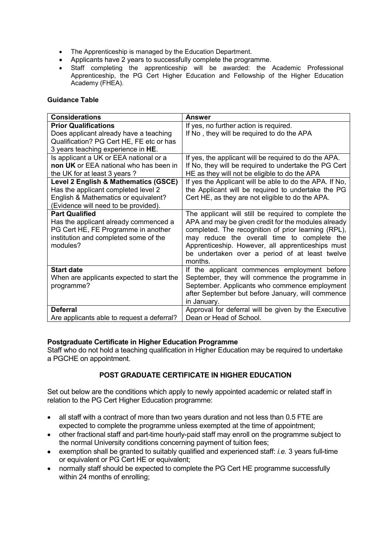- The Apprenticeship is managed by the Education Department.
- Applicants have 2 years to successfully complete the programme.
- Staff completing the apprenticeship will be awarded: the Academic Professional Apprenticeship, the PG Cert Higher Education and Fellowship of the Higher Education Academy (FHEA).

### **Guidance Table**

| <b>Considerations</b>                                                                                                                                      | <b>Answer</b>                                                                                                                                                                                                                                                                                                                       |
|------------------------------------------------------------------------------------------------------------------------------------------------------------|-------------------------------------------------------------------------------------------------------------------------------------------------------------------------------------------------------------------------------------------------------------------------------------------------------------------------------------|
| <b>Prior Qualifications</b>                                                                                                                                | If yes, no further action is required.                                                                                                                                                                                                                                                                                              |
| Does applicant already have a teaching                                                                                                                     | If No, they will be required to do the APA                                                                                                                                                                                                                                                                                          |
| Qualification? PG Cert HE, FE etc or has                                                                                                                   |                                                                                                                                                                                                                                                                                                                                     |
| 3 years teaching experience in HE.                                                                                                                         |                                                                                                                                                                                                                                                                                                                                     |
| Is applicant a UK or EEA national or a                                                                                                                     | If yes, the applicant will be required to do the APA.                                                                                                                                                                                                                                                                               |
| non UK or EEA national who has been in                                                                                                                     | If No, they will be required to undertake the PG Cert                                                                                                                                                                                                                                                                               |
| the UK for at least 3 years?                                                                                                                               | HE as they will not be eligible to do the APA                                                                                                                                                                                                                                                                                       |
| Level 2 English & Mathematics (GSCE)<br>Has the applicant completed level 2<br>English & Mathematics or equivalent?                                        | If yes the Applicant will be able to do the APA. If No,<br>the Applicant will be required to undertake the PG<br>Cert HE, as they are not eligible to do the APA.                                                                                                                                                                   |
| (Evidence will need to be provided).                                                                                                                       |                                                                                                                                                                                                                                                                                                                                     |
| <b>Part Qualified</b><br>Has the applicant already commenced a<br>PG Cert HE, FE Programme in another<br>institution and completed some of the<br>modules? | The applicant will still be required to complete the<br>APA and may be given credit for the modules already<br>completed. The recognition of prior learning (RPL),<br>may reduce the overall time to complete the<br>Apprenticeship. However, all apprenticeships must<br>be undertaken over a period of at least twelve<br>months. |
| <b>Start date</b><br>When are applicants expected to start the<br>programme?                                                                               | If the applicant commences employment before<br>September, they will commence the programme in<br>September. Applicants who commence employment<br>after September but before January, will commence<br>in January.                                                                                                                 |
| <b>Deferral</b>                                                                                                                                            | Approval for deferral will be given by the Executive                                                                                                                                                                                                                                                                                |
| Are applicants able to request a deferral?                                                                                                                 | Dean or Head of School.                                                                                                                                                                                                                                                                                                             |

## **Postgraduate Certificate in Higher Education Programme**

Staff who do not hold a teaching qualification in Higher Education may be required to undertake a PGCHE on appointment.

## **POST GRADUATE CERTIFICATE IN HIGHER EDUCATION**

Set out below are the conditions which apply to newly appointed academic or related staff in relation to the PG Cert Higher Education programme:

- all staff with a contract of more than two years duration and not less than 0.5 FTE are expected to complete the programme unless exempted at the time of appointment;
- other fractional staff and part-time hourly-paid staff may enroll on the programme subject to the normal University conditions concerning payment of tuition fees;
- exemption shall be granted to suitably qualified and experienced staff: *i.e.* 3 years full-time or equivalent or PG Cert HE or equivalent;
- normally staff should be expected to complete the PG Cert HE programme successfully within 24 months of enrolling;